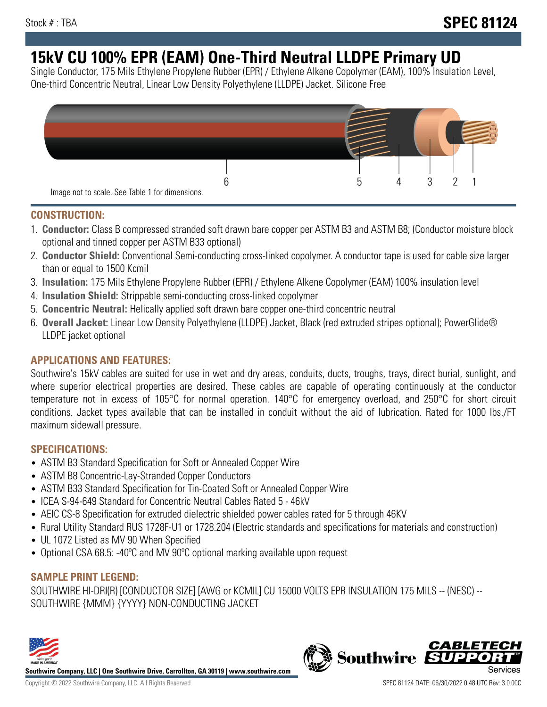# **15kV CU 100% EPR (EAM) One-Third Neutral LLDPE Primary UD**

Single Conductor, 175 Mils Ethylene Propylene Rubber (EPR) / Ethylene Alkene Copolymer (EAM), 100% Insulation Level, One-third Concentric Neutral, Linear Low Density Polyethylene (LLDPE) Jacket. Silicone Free



### **CONSTRUCTION:**

- 1. **Conductor:** Class B compressed stranded soft drawn bare copper per ASTM B3 and ASTM B8; (Conductor moisture block optional and tinned copper per ASTM B33 optional)
- 2. **Conductor Shield:** Conventional Semi-conducting cross-linked copolymer. A conductor tape is used for cable size larger than or equal to 1500 Kcmil
- 3. **Insulation:** 175 Mils Ethylene Propylene Rubber (EPR) / Ethylene Alkene Copolymer (EAM) 100% insulation level
- 4. **Insulation Shield:** Strippable semi-conducting cross-linked copolymer
- 5. **Concentric Neutral:** Helically applied soft drawn bare copper one-third concentric neutral
- 6. **Overall Jacket:** Linear Low Density Polyethylene (LLDPE) Jacket, Black (red extruded stripes optional); PowerGlide® LLDPE jacket optional

### **APPLICATIONS AND FEATURES:**

Southwire's 15kV cables are suited for use in wet and dry areas, conduits, ducts, troughs, trays, direct burial, sunlight, and where superior electrical properties are desired. These cables are capable of operating continuously at the conductor temperature not in excess of 105°C for normal operation. 140°C for emergency overload, and 250°C for short circuit conditions. Jacket types available that can be installed in conduit without the aid of lubrication. Rated for 1000 lbs./FT maximum sidewall pressure.

### **SPECIFICATIONS:**

- ASTM B3 Standard Specification for Soft or Annealed Copper Wire
- ASTM B8 Concentric-Lay-Stranded Copper Conductors
- ASTM B33 Standard Specification for Tin-Coated Soft or Annealed Copper Wire
- ICEA S-94-649 Standard for Concentric Neutral Cables Rated 5 46kV
- AEIC CS-8 Specification for extruded dielectric shielded power cables rated for 5 through 46KV
- Rural Utility Standard RUS 1728F-U1 or 1728.204 (Electric standards and specifications for materials and construction)
- UL 1072 Listed as MV 90 When Specified
- Optional CSA 68.5: -40°C and MV 90°C optional marking available upon request

## **SAMPLE PRINT LEGEND:**

SOUTHWIRE HI-DRI(R) [CONDUCTOR SIZE] [AWG or KCMIL] CU 15000 VOLTS EPR INSULATION 175 MILS -- (NESC) -- SOUTHWIRE {MMM} {YYYY} NON-CONDUCTING JACKET



**Southwire Company, LLC | One Southwire Drive, Carrollton, GA 30119 | www.southwire.com**